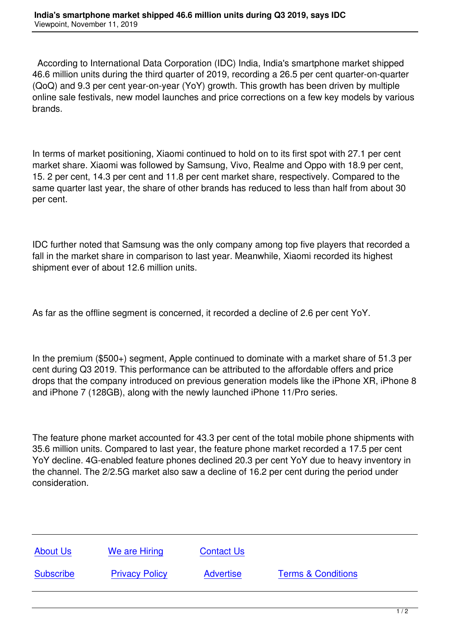According to International Data Corporation (IDC) India, India's smartphone market shipped 46.6 million units during the third quarter of 2019, recording a 26.5 per cent quarter-on-quarter (QoQ) and 9.3 per cent year-on-year (YoY) growth. This growth has been driven by multiple online sale festivals, new model launches and price corrections on a few key models by various brands.

In terms of market positioning, Xiaomi continued to hold on to its first spot with 27.1 per cent market share. Xiaomi was followed by Samsung, Vivo, Realme and Oppo with 18.9 per cent, 15. 2 per cent, 14.3 per cent and 11.8 per cent market share, respectively. Compared to the same quarter last year, the share of other brands has reduced to less than half from about 30 per cent.

IDC further noted that Samsung was the only company among top five players that recorded a fall in the market share in comparison to last year. Meanwhile, Xiaomi recorded its highest shipment ever of about 12.6 million units.

As far as the offline segment is concerned, it recorded a decline of 2.6 per cent YoY.

In the premium (\$500+) segment, Apple continued to dominate with a market share of 51.3 per cent during Q3 2019. This performance can be attributed to the affordable offers and price drops that the company introduced on previous generation models like the iPhone XR, iPhone 8 and iPhone 7 (128GB), along with the newly launched iPhone 11/Pro series.

The feature phone market accounted for 43.3 per cent of the total mobile phone shipments with 35.6 million units. Compared to last year, the feature phone market recorded a 17.5 per cent YoY decline. 4G-enabled feature phones declined 20.3 per cent YoY due to heavy inventory in the channel. The 2/2.5G market also saw a decline of 16.2 per cent during the period under consideration.

| <b>About Us</b>  | We are Hiring         | <b>Contact Us</b> |                               |
|------------------|-----------------------|-------------------|-------------------------------|
| <b>Subscribe</b> | <b>Privacy Policy</b> | <b>Advertise</b>  | <b>Terms &amp; Conditions</b> |